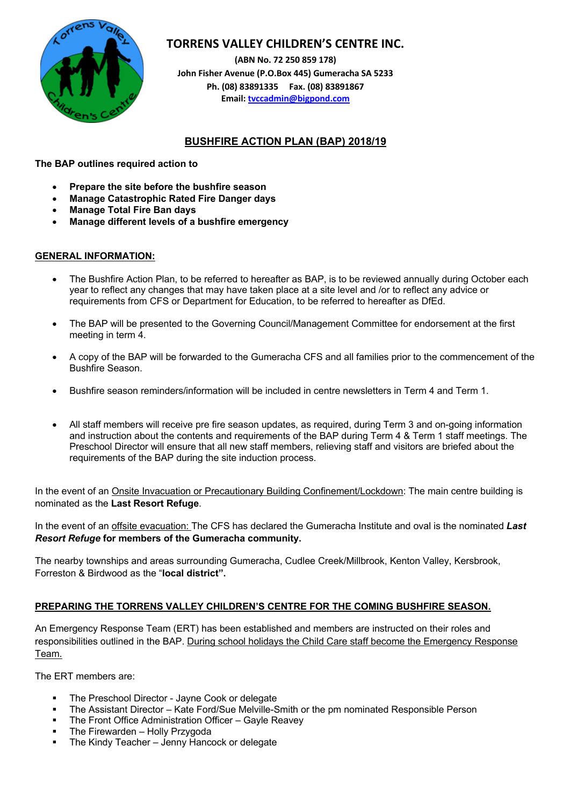

# **TORRENS VALLEY CHILDREN'S CENTRE INC.**

**(ABN No. 72 250 859 178) John Fisher Avenue (P.O.Box 445) Gumeracha SA 5233 Ph. (08) 83891335 Fax. (08) 83891867 Email: tvccadmin@bigpond.com**

# **BUSHFIRE ACTION PLAN (BAP) 2018/19**

**The BAP outlines required action to** 

- **Prepare the site before the bushfire season**
- **Manage Catastrophic Rated Fire Danger days**
- **Manage Total Fire Ban days**
- **Manage different levels of a bushfire emergency**

# **GENERAL INFORMATION:**

- The Bushfire Action Plan, to be referred to hereafter as BAP, is to be reviewed annually during October each year to reflect any changes that may have taken place at a site level and /or to reflect any advice or requirements from CFS or Department for Education, to be referred to hereafter as DfEd.
- The BAP will be presented to the Governing Council/Management Committee for endorsement at the first meeting in term 4.
- A copy of the BAP will be forwarded to the Gumeracha CFS and all families prior to the commencement of the Bushfire Season.
- Bushfire season reminders/information will be included in centre newsletters in Term 4 and Term 1.
- All staff members will receive pre fire season updates, as required, during Term 3 and on-going information and instruction about the contents and requirements of the BAP during Term 4 & Term 1 staff meetings. The Preschool Director will ensure that all new staff members, relieving staff and visitors are briefed about the requirements of the BAP during the site induction process.

In the event of an Onsite Invacuation or Precautionary Building Confinement/Lockdown: The main centre building is nominated as the **Last Resort Refuge**.

In the event of an offsite evacuation: The CFS has declared the Gumeracha Institute and oval is the nominated *Last Resort Refuge* **for members of the Gumeracha community.** 

The nearby townships and areas surrounding Gumeracha, Cudlee Creek/Millbrook, Kenton Valley, Kersbrook, Forreston & Birdwood as the "**local district".**

# **PREPARING THE TORRENS VALLEY CHILDREN'S CENTRE FOR THE COMING BUSHFIRE SEASON.**

An Emergency Response Team (ERT) has been established and members are instructed on their roles and responsibilities outlined in the BAP. During school holidays the Child Care staff become the Emergency Response Team.

The ERT members are:

- The Preschool Director Jayne Cook or delegate
- § The Assistant Director Kate Ford/Sue Melville-Smith or the pm nominated Responsible Person
- The Front Office Administration Officer Gayle Reavey
- The Firewarden Holly Przygoda
- The Kindy Teacher Jenny Hancock or delegate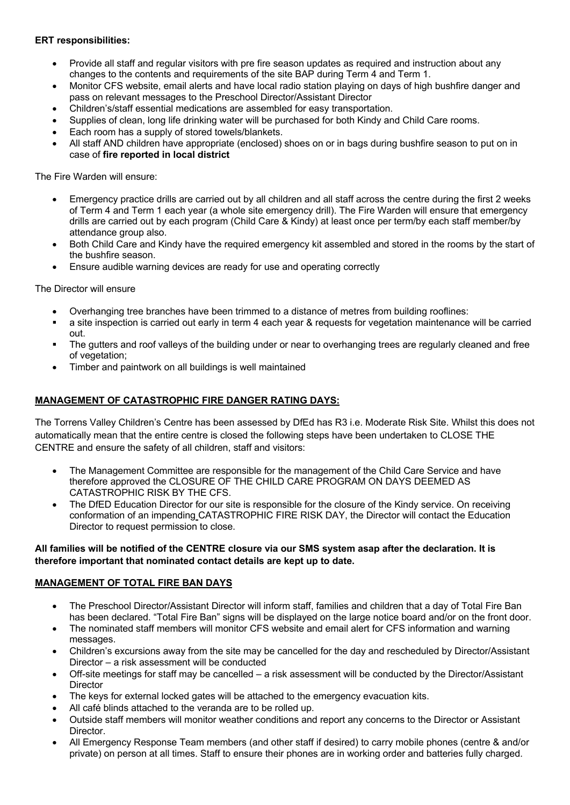### **ERT responsibilities:**

- Provide all staff and regular visitors with pre fire season updates as required and instruction about any changes to the contents and requirements of the site BAP during Term 4 and Term 1.
- Monitor CFS website, email alerts and have local radio station playing on days of high bushfire danger and pass on relevant messages to the Preschool Director/Assistant Director
- Children's/staff essential medications are assembled for easy transportation.
- Supplies of clean, long life drinking water will be purchased for both Kindy and Child Care rooms.
- Each room has a supply of stored towels/blankets.
- All staff AND children have appropriate (enclosed) shoes on or in bags during bushfire season to put on in case of **fire reported in local district**

The Fire Warden will ensure:

- Emergency practice drills are carried out by all children and all staff across the centre during the first 2 weeks of Term 4 and Term 1 each year (a whole site emergency drill). The Fire Warden will ensure that emergency drills are carried out by each program (Child Care & Kindy) at least once per term/by each staff member/by attendance group also.
- Both Child Care and Kindy have the required emergency kit assembled and stored in the rooms by the start of the bushfire season.
- Ensure audible warning devices are ready for use and operating correctly

The Director will ensure

- Overhanging tree branches have been trimmed to a distance of metres from building rooflines:
- a site inspection is carried out early in term 4 each year & requests for vegetation maintenance will be carried out.
- The gutters and roof valleys of the building under or near to overhanging trees are regularly cleaned and free of vegetation;
- Timber and paintwork on all buildings is well maintained

#### **MANAGEMENT OF CATASTROPHIC FIRE DANGER RATING DAYS:**

The Torrens Valley Children's Centre has been assessed by DfEd has R3 i.e. Moderate Risk Site. Whilst this does not automatically mean that the entire centre is closed the following steps have been undertaken to CLOSE THE CENTRE and ensure the safety of all children, staff and visitors:

- The Management Committee are responsible for the management of the Child Care Service and have therefore approved the CLOSURE OF THE CHILD CARE PROGRAM ON DAYS DEEMED AS CATASTROPHIC RISK BY THE CFS.
- The DfED Education Director for our site is responsible for the closure of the Kindy service. On receiving conformation of an impending CATASTROPHIC FIRE RISK DAY, the Director will contact the Education Director to request permission to close.

#### **All families will be notified of the CENTRE closure via our SMS system asap after the declaration. It is therefore important that nominated contact details are kept up to date.**

#### **MANAGEMENT OF TOTAL FIRE BAN DAYS**

- The Preschool Director/Assistant Director will inform staff, families and children that a day of Total Fire Ban has been declared. "Total Fire Ban" signs will be displayed on the large notice board and/or on the front door.
- The nominated staff members will monitor CFS website and email alert for CFS information and warning messages.
- Children's excursions away from the site may be cancelled for the day and rescheduled by Director/Assistant Director – a risk assessment will be conducted
- Off-site meetings for staff may be cancelled a risk assessment will be conducted by the Director/Assistant **Director**
- The keys for external locked gates will be attached to the emergency evacuation kits.
- All café blinds attached to the veranda are to be rolled up.
- Outside staff members will monitor weather conditions and report any concerns to the Director or Assistant **Director**
- All Emergency Response Team members (and other staff if desired) to carry mobile phones (centre & and/or private) on person at all times. Staff to ensure their phones are in working order and batteries fully charged.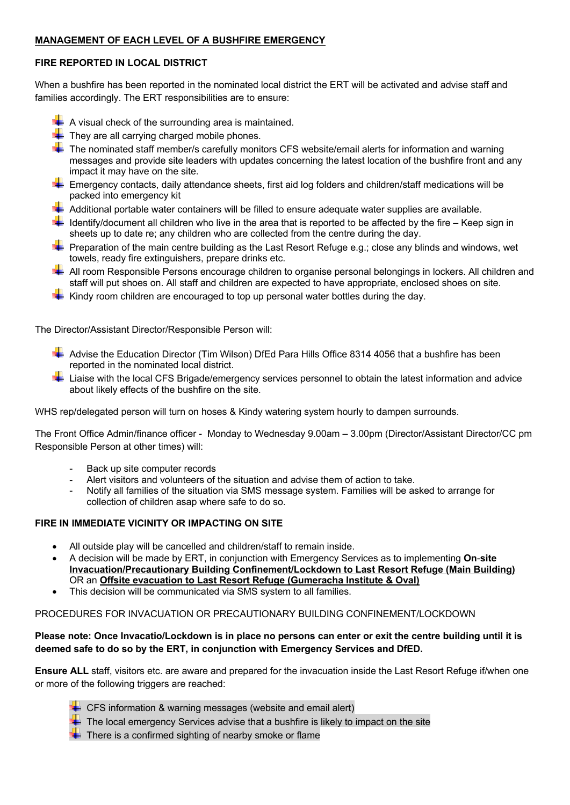### **MANAGEMENT OF EACH LEVEL OF A BUSHFIRE EMERGENCY**

# **FIRE REPORTED IN LOCAL DISTRICT**

When a bushfire has been reported in the nominated local district the ERT will be activated and advise staff and families accordingly. The ERT responsibilities are to ensure:

- $\blacktriangleright$  A visual check of the surrounding area is maintained.
- They are all carrying charged mobile phones.
- The nominated staff member/s carefully monitors CFS website/email alerts for information and warning messages and provide site leaders with updates concerning the latest location of the bushfire front and any impact it may have on the site.
- Emergency contacts, daily attendance sheets, first aid log folders and children/staff medications will be packed into emergency kit
- Additional portable water containers will be filled to ensure adequate water supplies are available.
- $\ddot{\bullet}$  Identify/document all children who live in the area that is reported to be affected by the fire Keep sign in sheets up to date re; any children who are collected from the centre during the day.
- **Preparation of the main centre building as the Last Resort Refuge e.g.; close any blinds and windows, wet** towels, ready fire extinguishers, prepare drinks etc.
- All room Responsible Persons encourage children to organise personal belongings in lockers. All children and staff will put shoes on. All staff and children are expected to have appropriate, enclosed shoes on site.
- Kindy room children are encouraged to top up personal water bottles during the day.

The Director/Assistant Director/Responsible Person will:

- Advise the Education Director (Tim Wilson) DfEd Para Hills Office 8314 4056 that a bushfire has been reported in the nominated local district.
- -⊾ Liaise with the local CFS Brigade/emergency services personnel to obtain the latest information and advice about likely effects of the bushfire on the site.

WHS rep/delegated person will turn on hoses & Kindy watering system hourly to dampen surrounds.

The Front Office Admin/finance officer - Monday to Wednesday 9.00am – 3.00pm (Director/Assistant Director/CC pm Responsible Person at other times) will:

- Back up site computer records
- Alert visitors and volunteers of the situation and advise them of action to take.
- Notify all families of the situation via SMS message system. Families will be asked to arrange for collection of children asap where safe to do so.

# **FIRE IN IMMEDIATE VICINITY OR IMPACTING ON SITE**

- All outside play will be cancelled and children/staff to remain inside.
- A decision will be made by ERT, in conjunction with Emergency Services as to implementing **On**-**site Invacuation/Precautionary Building Confinement/Lockdown to Last Resort Refuge (Main Building)** OR an **Offsite evacuation to Last Resort Refuge (Gumeracha Institute & Oval)**
- This decision will be communicated via SMS system to all families.

# PROCEDURES FOR INVACUATION OR PRECAUTIONARY BUILDING CONFINEMENT/LOCKDOWN

### **Please note: Once Invacatio/Lockdown is in place no persons can enter or exit the centre building until it is deemed safe to do so by the ERT, in conjunction with Emergency Services and DfED.**

**Ensure ALL** staff, visitors etc. are aware and prepared for the invacuation inside the Last Resort Refuge if/when one or more of the following triggers are reached:

- CFS information & warning messages (website and email alert)
- The local emergency Services advise that a bushfire is likely to impact on the site
- There is a confirmed sighting of nearby smoke or flame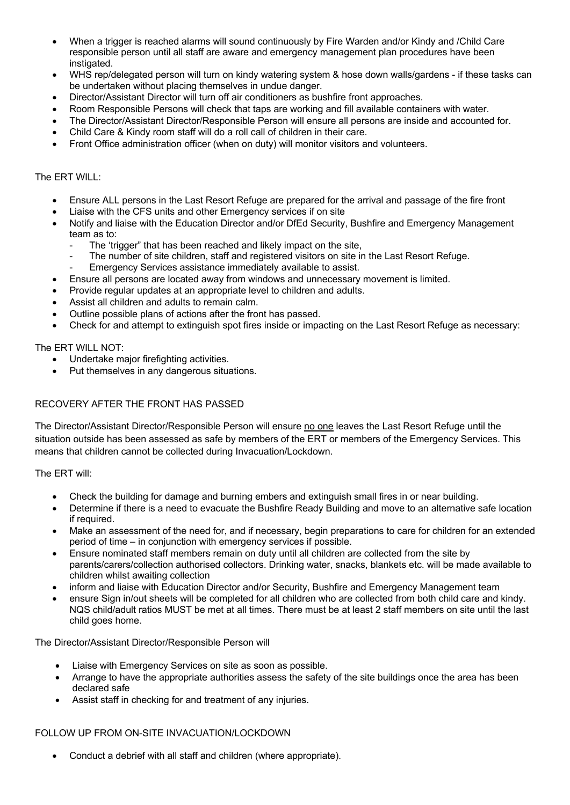- When a trigger is reached alarms will sound continuously by Fire Warden and/or Kindy and /Child Care responsible person until all staff are aware and emergency management plan procedures have been instigated.
- WHS rep/delegated person will turn on kindy watering system & hose down walls/gardens if these tasks can be undertaken without placing themselves in undue danger.
- Director/Assistant Director will turn off air conditioners as bushfire front approaches.
- Room Responsible Persons will check that taps are working and fill available containers with water.
- The Director/Assistant Director/Responsible Person will ensure all persons are inside and accounted for.
- Child Care & Kindy room staff will do a roll call of children in their care.
- Front Office administration officer (when on duty) will monitor visitors and volunteers.

#### The ERT WILL:

- Ensure ALL persons in the Last Resort Refuge are prepared for the arrival and passage of the fire front
- Liaise with the CFS units and other Emergency services if on site
- Notify and liaise with the Education Director and/or DfEd Security, Bushfire and Emergency Management team as to:
	- The 'trigger" that has been reached and likely impact on the site,
	- The number of site children, staff and registered visitors on site in the Last Resort Refuge.
	- Emergency Services assistance immediately available to assist.
- Ensure all persons are located away from windows and unnecessary movement is limited.
- Provide regular updates at an appropriate level to children and adults.
- Assist all children and adults to remain calm.
- Outline possible plans of actions after the front has passed.
- Check for and attempt to extinguish spot fires inside or impacting on the Last Resort Refuge as necessary:

The ERT WILL NOT:

- Undertake major firefighting activities.
- Put themselves in any dangerous situations.

#### RECOVERY AFTER THE FRONT HAS PASSED

The Director/Assistant Director/Responsible Person will ensure no one leaves the Last Resort Refuge until the situation outside has been assessed as safe by members of the ERT or members of the Emergency Services. This means that children cannot be collected during Invacuation/Lockdown.

The ERT will:

- Check the building for damage and burning embers and extinguish small fires in or near building.
- Determine if there is a need to evacuate the Bushfire Ready Building and move to an alternative safe location if required.
- Make an assessment of the need for, and if necessary, begin preparations to care for children for an extended period of time – in conjunction with emergency services if possible.
- Ensure nominated staff members remain on duty until all children are collected from the site by parents/carers/collection authorised collectors. Drinking water, snacks, blankets etc. will be made available to children whilst awaiting collection
- inform and liaise with Education Director and/or Security, Bushfire and Emergency Management team
- ensure Sign in/out sheets will be completed for all children who are collected from both child care and kindy. NQS child/adult ratios MUST be met at all times. There must be at least 2 staff members on site until the last child goes home.

The Director/Assistant Director/Responsible Person will

- Liaise with Emergency Services on site as soon as possible.
- Arrange to have the appropriate authorities assess the safety of the site buildings once the area has been declared safe
- Assist staff in checking for and treatment of any injuries.

#### FOLLOW UP FROM ON-SITE INVACUATION/LOCKDOWN

• Conduct a debrief with all staff and children (where appropriate).